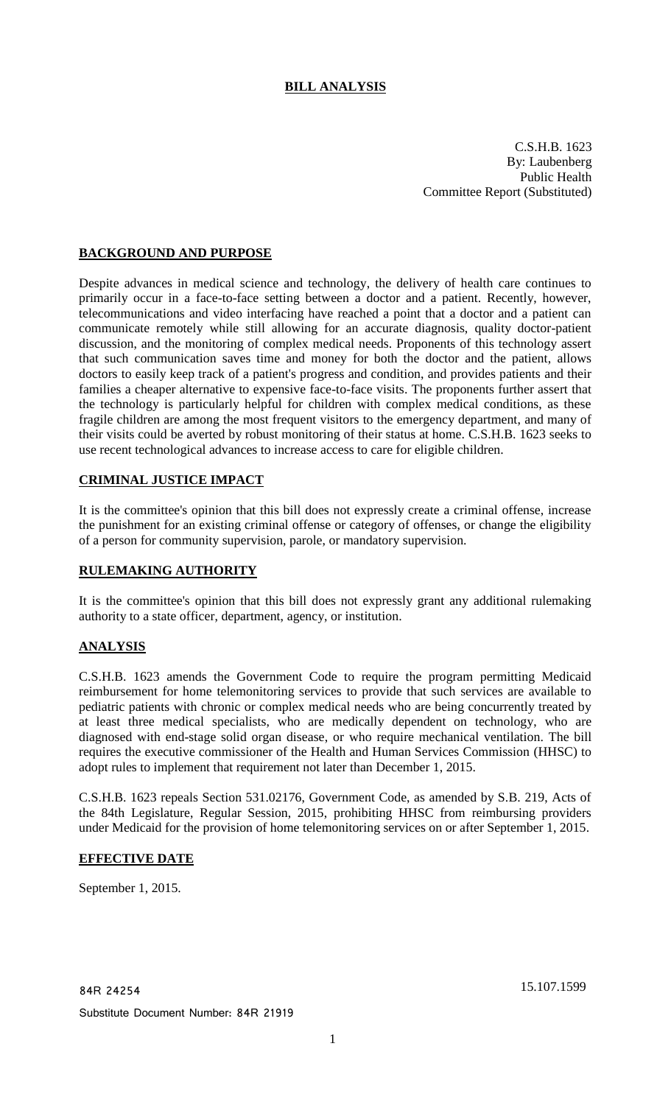# **BILL ANALYSIS**

C.S.H.B. 1623 By: Laubenberg Public Health Committee Report (Substituted)

## **BACKGROUND AND PURPOSE**

Despite advances in medical science and technology, the delivery of health care continues to primarily occur in a face-to-face setting between a doctor and a patient. Recently, however, telecommunications and video interfacing have reached a point that a doctor and a patient can communicate remotely while still allowing for an accurate diagnosis, quality doctor-patient discussion, and the monitoring of complex medical needs. Proponents of this technology assert that such communication saves time and money for both the doctor and the patient, allows doctors to easily keep track of a patient's progress and condition, and provides patients and their families a cheaper alternative to expensive face-to-face visits. The proponents further assert that the technology is particularly helpful for children with complex medical conditions, as these fragile children are among the most frequent visitors to the emergency department, and many of their visits could be averted by robust monitoring of their status at home. C.S.H.B. 1623 seeks to use recent technological advances to increase access to care for eligible children.

## **CRIMINAL JUSTICE IMPACT**

It is the committee's opinion that this bill does not expressly create a criminal offense, increase the punishment for an existing criminal offense or category of offenses, or change the eligibility of a person for community supervision, parole, or mandatory supervision.

## **RULEMAKING AUTHORITY**

It is the committee's opinion that this bill does not expressly grant any additional rulemaking authority to a state officer, department, agency, or institution.

## **ANALYSIS**

C.S.H.B. 1623 amends the Government Code to require the program permitting Medicaid reimbursement for home telemonitoring services to provide that such services are available to pediatric patients with chronic or complex medical needs who are being concurrently treated by at least three medical specialists, who are medically dependent on technology, who are diagnosed with end-stage solid organ disease, or who require mechanical ventilation. The bill requires the executive commissioner of the Health and Human Services Commission (HHSC) to adopt rules to implement that requirement not later than December 1, 2015.

C.S.H.B. 1623 repeals Section 531.02176, Government Code, as amended by S.B. 219, Acts of the 84th Legislature, Regular Session, 2015, prohibiting HHSC from reimbursing providers under Medicaid for the provision of home telemonitoring services on or after September 1, 2015.

## **EFFECTIVE DATE**

September 1, 2015.